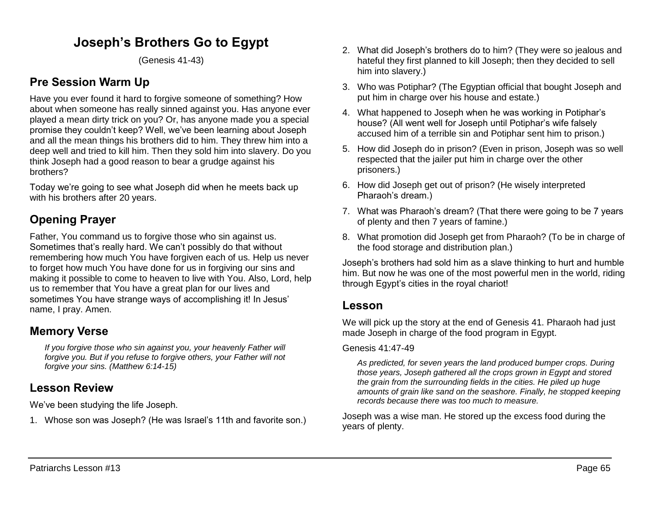# **Joseph's Brothers Go to Egypt**

(Genesis 41-43)

# **Pre Session Warm Up**

Have you ever found it hard to forgive someone of something? How about when someone has really sinned against you. Has anyone ever played a mean dirty trick on you? Or, has anyone made you a special promise they couldn't keep? Well, we've been learning about Joseph and all the mean things his brothers did to him. They threw him into a deep well and tried to kill him. Then they sold him into slavery. Do you think Joseph had a good reason to bear a grudge against his brothers?

Today we're going to see what Joseph did when he meets back up with his brothers after 20 years.

# **Opening Prayer**

Father, You command us to forgive those who sin against us. Sometimes that's really hard. We can't possibly do that without remembering how much You have forgiven each of us. Help us never to forget how much You have done for us in forgiving our sins and making it possible to come to heaven to live with You. Also, Lord, help us to remember that You have a great plan for our lives and sometimes You have strange ways of accomplishing it! In Jesus' name, I pray. Amen.

## **Memory Verse**

*If you forgive those who sin against you, your heavenly Father will forgive you. But if you refuse to forgive others, your Father will not forgive your sins. (Matthew 6:14-15)*

# **Lesson Review**

We've been studying the life Joseph.

1. Whose son was Joseph? (He was Israel's 11th and favorite son.)

- 2. What did Joseph's brothers do to him? (They were so jealous and hateful they first planned to kill Joseph; then they decided to sell him into slavery.)
- 3. Who was Potiphar? (The Egyptian official that bought Joseph and put him in charge over his house and estate.)
- 4. What happened to Joseph when he was working in Potiphar's house? (All went well for Joseph until Potiphar's wife falsely accused him of a terrible sin and Potiphar sent him to prison.)
- 5. How did Joseph do in prison? (Even in prison, Joseph was so well respected that the jailer put him in charge over the other prisoners.)
- 6. How did Joseph get out of prison? (He wisely interpreted Pharaoh's dream.)
- 7. What was Pharaoh's dream? (That there were going to be 7 years of plenty and then 7 years of famine.)
- 8. What promotion did Joseph get from Pharaoh? (To be in charge of the food storage and distribution plan.)

Joseph's brothers had sold him as a slave thinking to hurt and humble him. But now he was one of the most powerful men in the world, riding through Egypt's cities in the royal chariot!

## **Lesson**

We will pick up the story at the end of Genesis 41. Pharaoh had just made Joseph in charge of the food program in Egypt.

#### Genesis 41:47-49

*As predicted, for seven years the land produced bumper crops. During those years, Joseph gathered all the crops grown in Egypt and stored the grain from the surrounding fields in the cities. He piled up huge amounts of grain like sand on the seashore. Finally, he stopped keeping records because there was too much to measure.* 

Joseph was a wise man. He stored up the excess food during the years of plenty.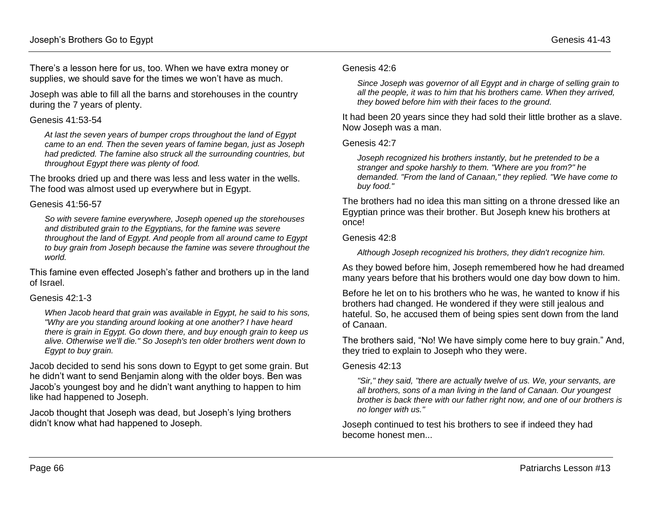There's a lesson here for us, too. When we have extra money or supplies, we should save for the times we won't have as much.

Joseph was able to fill all the barns and storehouses in the country during the 7 years of plenty.

#### Genesis 41:53-54

*At last the seven years of bumper crops throughout the land of Egypt came to an end. Then the seven years of famine began, just as Joseph had predicted. The famine also struck all the surrounding countries, but throughout Egypt there was plenty of food.* 

The brooks dried up and there was less and less water in the wells. The food was almost used up everywhere but in Egypt.

#### Genesis 41:56-57

*So with severe famine everywhere, Joseph opened up the storehouses and distributed grain to the Egyptians, for the famine was severe throughout the land of Egypt. And people from all around came to Egypt to buy grain from Joseph because the famine was severe throughout the world.* 

This famine even effected Joseph's father and brothers up in the land of Israel.

#### Genesis 42:1-3

*When Jacob heard that grain was available in Egypt, he said to his sons, "Why are you standing around looking at one another? I have heard there is grain in Egypt. Go down there, and buy enough grain to keep us alive. Otherwise we'll die." So Joseph's ten older brothers went down to Egypt to buy grain.* 

Jacob decided to send his sons down to Egypt to get some grain. But he didn't want to send Benjamin along with the older boys. Ben was Jacob's youngest boy and he didn't want anything to happen to him like had happened to Joseph.

Jacob thought that Joseph was dead, but Joseph's lying brothers didn't know what had happened to Joseph.

#### Genesis 42:6

*Since Joseph was governor of all Egypt and in charge of selling grain to all the people, it was to him that his brothers came. When they arrived, they bowed before him with their faces to the ground.*

It had been 20 years since they had sold their little brother as a slave. Now Joseph was a man.

#### Genesis 42:7

*Joseph recognized his brothers instantly, but he pretended to be a stranger and spoke harshly to them. "Where are you from?" he demanded. "From the land of Canaan," they replied. "We have come to buy food."*

The brothers had no idea this man sitting on a throne dressed like an Egyptian prince was their brother. But Joseph knew his brothers at once!

#### Genesis 42:8

*Although Joseph recognized his brothers, they didn't recognize him.*

As they bowed before him, Joseph remembered how he had dreamed many years before that his brothers would one day bow down to him.

Before he let on to his brothers who he was, he wanted to know if his brothers had changed. He wondered if they were still jealous and hateful. So, he accused them of being spies sent down from the land of Canaan.

The brothers said, "No! We have simply come here to buy grain." And, they tried to explain to Joseph who they were.

#### Genesis 42:13

*"Sir," they said, "there are actually twelve of us. We, your servants, are all brothers, sons of a man living in the land of Canaan. Our youngest brother is back there with our father right now, and one of our brothers is no longer with us."*

Joseph continued to test his brothers to see if indeed they had become honest men...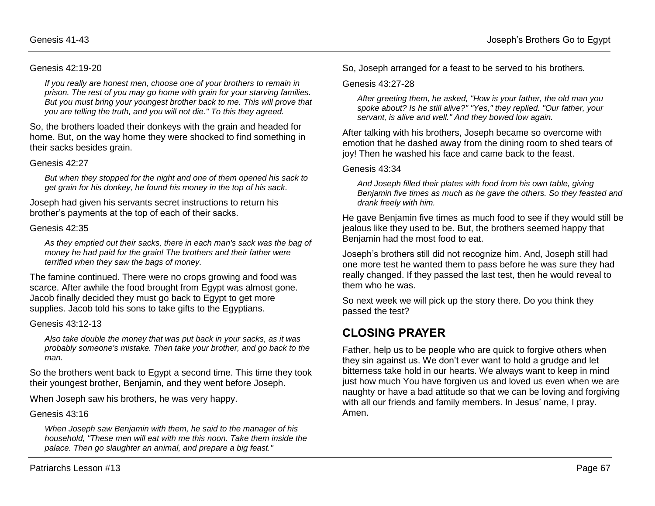#### Genesis 42:19-20

*If you really are honest men, choose one of your brothers to remain in prison. The rest of you may go home with grain for your starving families. But you must bring your youngest brother back to me. This will prove that you are telling the truth, and you will not die." To this they agreed.* 

So, the brothers loaded their donkeys with the grain and headed for home. But, on the way home they were shocked to find something in their sacks besides grain.

#### Genesis 42:27

*But when they stopped for the night and one of them opened his sack to get grain for his donkey, he found his money in the top of his sack.* 

Joseph had given his servants secret instructions to return his brother's payments at the top of each of their sacks.

#### Genesis 42:35

*As they emptied out their sacks, there in each man's sack was the bag of money he had paid for the grain! The brothers and their father were terrified when they saw the bags of money.*

The famine continued. There were no crops growing and food was scarce. After awhile the food brought from Egypt was almost gone. Jacob finally decided they must go back to Egypt to get more supplies. Jacob told his sons to take gifts to the Egyptians.

#### Genesis 43:12-13

*Also take double the money that was put back in your sacks, as it was probably someone's mistake. Then take your brother, and go back to the man.* 

So the brothers went back to Egypt a second time. This time they took their youngest brother, Benjamin, and they went before Joseph.

When Joseph saw his brothers, he was very happy.

#### Genesis 43:16

*When Joseph saw Benjamin with them, he said to the manager of his household, "These men will eat with me this noon. Take them inside the palace. Then go slaughter an animal, and prepare a big feast."*

So, Joseph arranged for a feast to be served to his brothers.

#### Genesis 43:27-28

*After greeting them, he asked, "How is your father, the old man you spoke about? Is he still alive?" "Yes," they replied. "Our father, your servant, is alive and well." And they bowed low again.* 

After talking with his brothers, Joseph became so overcome with emotion that he dashed away from the dining room to shed tears of joy! Then he washed his face and came back to the feast.

#### Genesis 43:34

*And Joseph filled their plates with food from his own table, giving Benjamin five times as much as he gave the others. So they feasted and drank freely with him.*

He gave Benjamin five times as much food to see if they would still be jealous like they used to be. But, the brothers seemed happy that Benjamin had the most food to eat.

Joseph's brothers still did not recognize him. And, Joseph still had one more test he wanted them to pass before he was sure they had really changed. If they passed the last test, then he would reveal to them who he was.

So next week we will pick up the story there. Do you think they passed the test?

## **CLOSING PRAYER**

Father, help us to be people who are quick to forgive others when they sin against us. We don't ever want to hold a grudge and let bitterness take hold in our hearts. We always want to keep in mind just how much You have forgiven us and loved us even when we are naughty or have a bad attitude so that we can be loving and forgiving with all our friends and family members. In Jesus' name, I pray. Amen.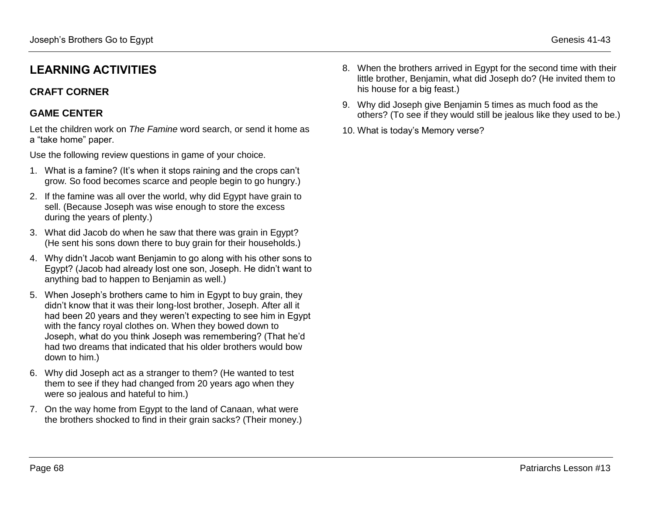## **CRAFT CORNER**

## **GAME CENTER**

Let the children work on *The Famine* word search, or send it home as a "take home" paper.

Use the following review questions in game of your choice.

- 1. What is a famine? (It's when it stops raining and the crops can't grow. So food becomes scarce and people begin to go hungry.)
- 2. If the famine was all over the world, why did Egypt have grain to sell. (Because Joseph was wise enough to store the excess during the years of plenty.)
- 3. What did Jacob do when he saw that there was grain in Egypt? (He sent his sons down there to buy grain for their households.)
- 4. Why didn't Jacob want Benjamin to go along with his other sons to Egypt? (Jacob had already lost one son, Joseph. He didn't want to anything bad to happen to Benjamin as well.)
- 5. When Joseph's brothers came to him in Egypt to buy grain, they didn't know that it was their long-lost brother, Joseph. After all it had been 20 years and they weren't expecting to see him in Egypt with the fancy royal clothes on. When they bowed down to Joseph, what do you think Joseph was remembering? (That he'd had two dreams that indicated that his older brothers would bow down to him.)
- 6. Why did Joseph act as a stranger to them? (He wanted to test them to see if they had changed from 20 years ago when they were so jealous and hateful to him.)
- 7. On the way home from Egypt to the land of Canaan, what were the brothers shocked to find in their grain sacks? (Their money.)
- 8. When the brothers arrived in Egypt for the second time with their little brother, Benjamin, what did Joseph do? (He invited them to his house for a big feast.)
- 9. Why did Joseph give Benjamin 5 times as much food as the others? (To see if they would still be jealous like they used to be.)
- 10. What is today's Memory verse?